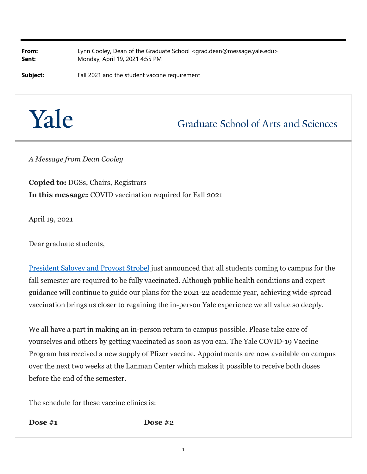**From:** Lynn Cooley, Dean of the Graduate School <grad.dean@message.yale.edu> **Sent:** Monday, April 19, 2021 4:55 PM

**Subject:** Fall 2021 and the student vaccine requirement

## Yale

## **Graduate School of Arts and Sciences**

*A Message from Dean Cooley*

**Copied to:** DGSs, Chairs, Registrars **In this message:** COVID vaccination required for Fall 2021

April 19, 2021

Dear graduate students,

President Salovey and Provost Strobel just announced that all students coming to campus for the fall semester are required to be fully vaccinated. Although public health conditions and expert guidance will continue to guide our plans for the 2021-22 academic year, achieving wide-spread vaccination brings us closer to regaining the in-person Yale experience we all value so deeply.

We all have a part in making an in-person return to campus possible. Please take care of yourselves and others by getting vaccinated as soon as you can. The Yale COVID-19 Vaccine Program has received a new supply of Pfizer vaccine. Appointments are now available on campus over the next two weeks at the Lanman Center which makes it possible to receive both doses before the end of the semester.

The schedule for these vaccine clinics is:

**Dose #1 Dose #2**